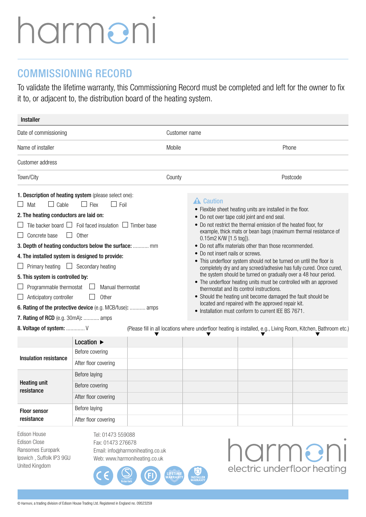## harmeni

## COMMISSIONING RECORD

To validate the lifetime warranty, this Commissioning Record must be completed and left for the owner to fix it to, or adjacent to, the distribution board of the heating system.

| <b>Installer</b>                                                                                                                                                                                                                                                                                                                                                                                                                                                                                                                                      |                                                                                                                                    |        |                                                                                |                                                                                                                                                                                                                                                                                                                                                                                                                                                                                                                                                                                                                                                                                                                                                    |                                                                                                                                                                                        |  |  |  |  |  |  |  |  |  |
|-------------------------------------------------------------------------------------------------------------------------------------------------------------------------------------------------------------------------------------------------------------------------------------------------------------------------------------------------------------------------------------------------------------------------------------------------------------------------------------------------------------------------------------------------------|------------------------------------------------------------------------------------------------------------------------------------|--------|--------------------------------------------------------------------------------|----------------------------------------------------------------------------------------------------------------------------------------------------------------------------------------------------------------------------------------------------------------------------------------------------------------------------------------------------------------------------------------------------------------------------------------------------------------------------------------------------------------------------------------------------------------------------------------------------------------------------------------------------------------------------------------------------------------------------------------------------|----------------------------------------------------------------------------------------------------------------------------------------------------------------------------------------|--|--|--|--|--|--|--|--|--|
| Date of commissioning                                                                                                                                                                                                                                                                                                                                                                                                                                                                                                                                 |                                                                                                                                    |        | Customer name                                                                  |                                                                                                                                                                                                                                                                                                                                                                                                                                                                                                                                                                                                                                                                                                                                                    |                                                                                                                                                                                        |  |  |  |  |  |  |  |  |  |
| Name of installer                                                                                                                                                                                                                                                                                                                                                                                                                                                                                                                                     |                                                                                                                                    | Mobile |                                                                                | Phone                                                                                                                                                                                                                                                                                                                                                                                                                                                                                                                                                                                                                                                                                                                                              |                                                                                                                                                                                        |  |  |  |  |  |  |  |  |  |
| Customer address                                                                                                                                                                                                                                                                                                                                                                                                                                                                                                                                      |                                                                                                                                    |        |                                                                                |                                                                                                                                                                                                                                                                                                                                                                                                                                                                                                                                                                                                                                                                                                                                                    |                                                                                                                                                                                        |  |  |  |  |  |  |  |  |  |
| Town/City                                                                                                                                                                                                                                                                                                                                                                                                                                                                                                                                             |                                                                                                                                    | County |                                                                                |                                                                                                                                                                                                                                                                                                                                                                                                                                                                                                                                                                                                                                                                                                                                                    | Postcode                                                                                                                                                                               |  |  |  |  |  |  |  |  |  |
| 1. Description of heating system (please select one):<br>Cable<br>$\Box$ Mat<br>2. The heating conductors are laid on:<br>$\Box$ Concrete base<br>3. Depth of heating conductors below the surface:  mm<br>4. The installed system is designed to provide:<br>$\Box$ Primary heating $\Box$ Secondary heating<br>5. This system is controlled by:<br>Programmable thermostat $\Box$<br>$\Box$ Anticipatory controller<br>6. Rating of the protective device (e.g. MCB/fuse):  amps<br>7. Rating of RCD (e.g. 30mA):  amps<br>8. Voltage of system:  V | $ $ Foil<br>$ $   Flex<br>Tile backer board $\Box$ Foil faced insulation $\Box$ Timber base<br>Other<br>Manual thermostat<br>Other |        | <b>A</b> Caution<br>0.15m2 K/W [1.5 tog]).<br>• Do not insert nails or screws. | • Flexible sheet heating units are installed in the floor.<br>• Do not over tape cold joint and end seal.<br>• Do not restrict the thermal emission of the heated floor, for<br>example, thick mats or bean bags (maximum thermal resistance of<br>• Do not affix materials other than those recommended.<br>• This underfloor system should not be turned on until the floor is<br>the system should be turned on gradually over a 48 hour period.<br>• The underfloor heating units must be controlled with an approved<br>thermostat and its control instructions.<br>• Should the heating unit become damaged the fault should be<br>located and repaired with the approved repair kit.<br>• Installation must conform to current IEE BS 7671. | completely dry and any screed/adhesive has fully cured. Once cured,<br>(Please fill in all locations where underfloor heating is installed, e.g., Living Room, Kitchen, Bathroom etc.) |  |  |  |  |  |  |  |  |  |
|                                                                                                                                                                                                                                                                                                                                                                                                                                                                                                                                                       | Location $\blacktriangleright$                                                                                                     |        |                                                                                |                                                                                                                                                                                                                                                                                                                                                                                                                                                                                                                                                                                                                                                                                                                                                    |                                                                                                                                                                                        |  |  |  |  |  |  |  |  |  |
|                                                                                                                                                                                                                                                                                                                                                                                                                                                                                                                                                       | Before covering                                                                                                                    |        |                                                                                |                                                                                                                                                                                                                                                                                                                                                                                                                                                                                                                                                                                                                                                                                                                                                    |                                                                                                                                                                                        |  |  |  |  |  |  |  |  |  |
| Insulation resistance                                                                                                                                                                                                                                                                                                                                                                                                                                                                                                                                 | After floor covering                                                                                                               |        |                                                                                |                                                                                                                                                                                                                                                                                                                                                                                                                                                                                                                                                                                                                                                                                                                                                    |                                                                                                                                                                                        |  |  |  |  |  |  |  |  |  |
|                                                                                                                                                                                                                                                                                                                                                                                                                                                                                                                                                       | Before laying                                                                                                                      |        |                                                                                |                                                                                                                                                                                                                                                                                                                                                                                                                                                                                                                                                                                                                                                                                                                                                    |                                                                                                                                                                                        |  |  |  |  |  |  |  |  |  |
| <b>Heating unit</b><br>resistance                                                                                                                                                                                                                                                                                                                                                                                                                                                                                                                     | Before covering                                                                                                                    |        |                                                                                |                                                                                                                                                                                                                                                                                                                                                                                                                                                                                                                                                                                                                                                                                                                                                    |                                                                                                                                                                                        |  |  |  |  |  |  |  |  |  |
|                                                                                                                                                                                                                                                                                                                                                                                                                                                                                                                                                       | After floor covering                                                                                                               |        |                                                                                |                                                                                                                                                                                                                                                                                                                                                                                                                                                                                                                                                                                                                                                                                                                                                    |                                                                                                                                                                                        |  |  |  |  |  |  |  |  |  |
| <b>Floor sensor</b>                                                                                                                                                                                                                                                                                                                                                                                                                                                                                                                                   | Before laying                                                                                                                      |        |                                                                                |                                                                                                                                                                                                                                                                                                                                                                                                                                                                                                                                                                                                                                                                                                                                                    |                                                                                                                                                                                        |  |  |  |  |  |  |  |  |  |
| resistance                                                                                                                                                                                                                                                                                                                                                                                                                                                                                                                                            | After floor covering                                                                                                               |        |                                                                                |                                                                                                                                                                                                                                                                                                                                                                                                                                                                                                                                                                                                                                                                                                                                                    |                                                                                                                                                                                        |  |  |  |  |  |  |  |  |  |
| Frlienn Hnuea                                                                                                                                                                                                                                                                                                                                                                                                                                                                                                                                         | $T_0$ $\cdot$ 01/72 550088                                                                                                         |        |                                                                                |                                                                                                                                                                                                                                                                                                                                                                                                                                                                                                                                                                                                                                                                                                                                                    |                                                                                                                                                                                        |  |  |  |  |  |  |  |  |  |

on House Edison Close Ransomes Europark Ipswich , Suffolk IP3 9GU United Kingdom

Tel: 01473 559088 Fax: 01473 276678 Email: info@harmoniheating.co.uk Web: www.harmoniheating.co.uk

harmeni